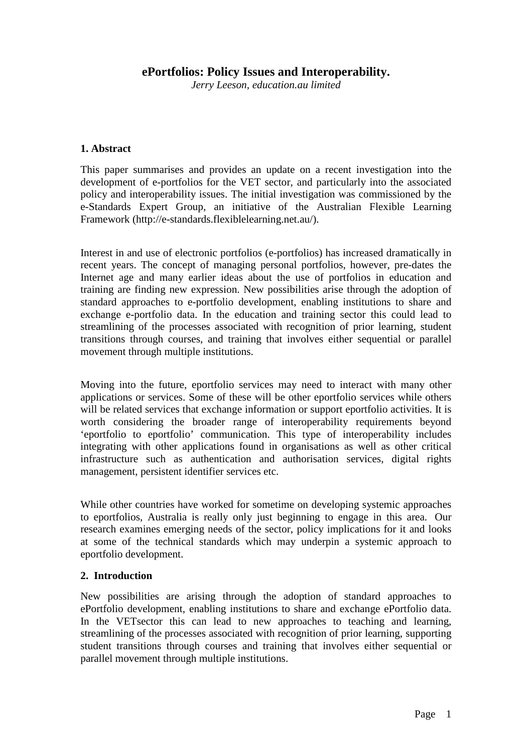# **ePortfolios: Policy Issues and Interoperability.**

*Jerry Leeson, education.au limited* 

### **1. Abstract**

This paper summarises and provides an update on a recent investigation into the development of e-portfolios for the VET sector, and particularly into the associated policy and interoperability issues. The initial investigation was commissioned by the e-Standards Expert Group, an initiative of the Australian Flexible Learning Framework (http://e-standards.flexiblelearning.net.au/).

Interest in and use of electronic portfolios (e-portfolios) has increased dramatically in recent years. The concept of managing personal portfolios, however, pre-dates the Internet age and many earlier ideas about the use of portfolios in education and training are finding new expression. New possibilities arise through the adoption of standard approaches to e-portfolio development, enabling institutions to share and exchange e-portfolio data. In the education and training sector this could lead to streamlining of the processes associated with recognition of prior learning, student transitions through courses, and training that involves either sequential or parallel movement through multiple institutions.

Moving into the future, eportfolio services may need to interact with many other applications or services. Some of these will be other eportfolio services while others will be related services that exchange information or support eportfolio activities. It is worth considering the broader range of interoperability requirements beyond 'eportfolio to eportfolio' communication. This type of interoperability includes integrating with other applications found in organisations as well as other critical infrastructure such as authentication and authorisation services, digital rights management, persistent identifier services etc.

While other countries have worked for sometime on developing systemic approaches to eportfolios, Australia is really only just beginning to engage in this area. Our research examines emerging needs of the sector, policy implications for it and looks at some of the technical standards which may underpin a systemic approach to eportfolio development.

### **2. Introduction**

New possibilities are arising through the adoption of standard approaches to ePortfolio development, enabling institutions to share and exchange ePortfolio data. In the VETsector this can lead to new approaches to teaching and learning, streamlining of the processes associated with recognition of prior learning, supporting student transitions through courses and training that involves either sequential or parallel movement through multiple institutions.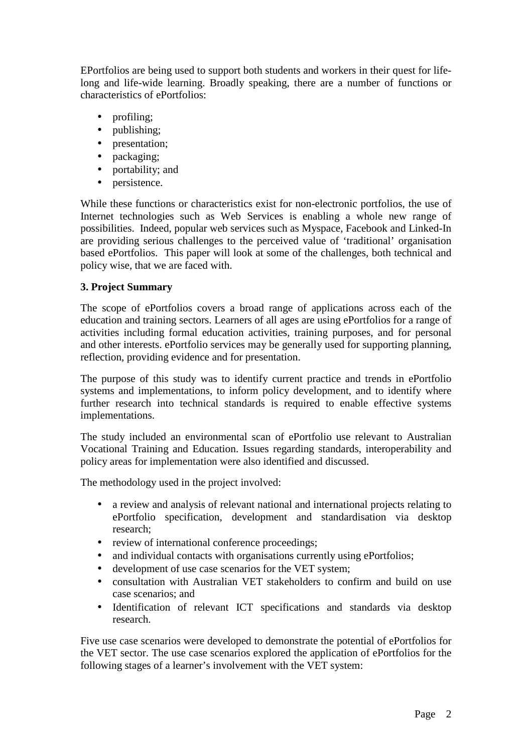EPortfolios are being used to support both students and workers in their quest for lifelong and life-wide learning. Broadly speaking, there are a number of functions or characteristics of ePortfolios:

- profiling;
- publishing;
- presentation;
- packaging;
- portability; and
- persistence.

While these functions or characteristics exist for non-electronic portfolios, the use of Internet technologies such as Web Services is enabling a whole new range of possibilities. Indeed, popular web services such as Myspace, Facebook and Linked-In are providing serious challenges to the perceived value of 'traditional' organisation based ePortfolios. This paper will look at some of the challenges, both technical and policy wise, that we are faced with.

## **3. Project Summary**

The scope of ePortfolios covers a broad range of applications across each of the education and training sectors. Learners of all ages are using ePortfolios for a range of activities including formal education activities, training purposes, and for personal and other interests. ePortfolio services may be generally used for supporting planning, reflection, providing evidence and for presentation.

The purpose of this study was to identify current practice and trends in ePortfolio systems and implementations, to inform policy development, and to identify where further research into technical standards is required to enable effective systems implementations.

The study included an environmental scan of ePortfolio use relevant to Australian Vocational Training and Education. Issues regarding standards, interoperability and policy areas for implementation were also identified and discussed.

The methodology used in the project involved:

- a review and analysis of relevant national and international projects relating to ePortfolio specification, development and standardisation via desktop research;
- review of international conference proceedings:
- and individual contacts with organisations currently using ePortfolios;
- development of use case scenarios for the VET system;
- consultation with Australian VET stakeholders to confirm and build on use case scenarios; and
- Identification of relevant ICT specifications and standards via desktop research.

Five use case scenarios were developed to demonstrate the potential of ePortfolios for the VET sector. The use case scenarios explored the application of ePortfolios for the following stages of a learner's involvement with the VET system: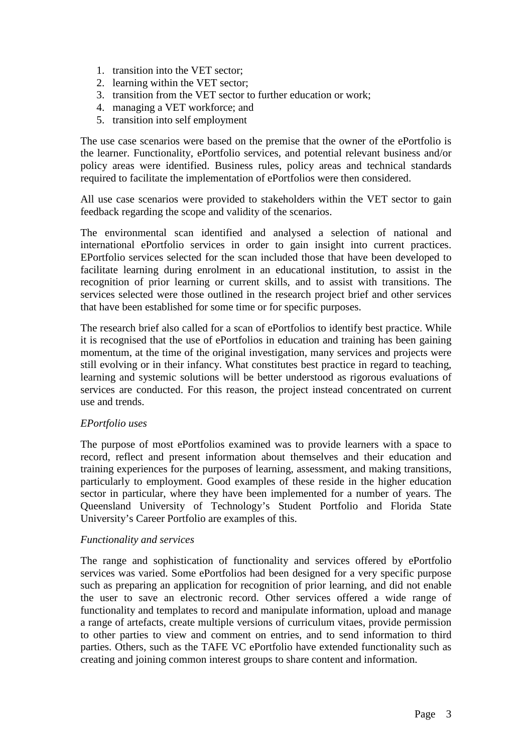- 1. transition into the VET sector;
- 2. learning within the VET sector;
- 3. transition from the VET sector to further education or work;
- 4. managing a VET workforce; and
- 5. transition into self employment

The use case scenarios were based on the premise that the owner of the ePortfolio is the learner. Functionality, ePortfolio services, and potential relevant business and/or policy areas were identified. Business rules, policy areas and technical standards required to facilitate the implementation of ePortfolios were then considered.

All use case scenarios were provided to stakeholders within the VET sector to gain feedback regarding the scope and validity of the scenarios.

The environmental scan identified and analysed a selection of national and international ePortfolio services in order to gain insight into current practices. EPortfolio services selected for the scan included those that have been developed to facilitate learning during enrolment in an educational institution, to assist in the recognition of prior learning or current skills, and to assist with transitions. The services selected were those outlined in the research project brief and other services that have been established for some time or for specific purposes.

The research brief also called for a scan of ePortfolios to identify best practice. While it is recognised that the use of ePortfolios in education and training has been gaining momentum, at the time of the original investigation, many services and projects were still evolving or in their infancy. What constitutes best practice in regard to teaching, learning and systemic solutions will be better understood as rigorous evaluations of services are conducted. For this reason, the project instead concentrated on current use and trends.

### *EPortfolio uses*

The purpose of most ePortfolios examined was to provide learners with a space to record, reflect and present information about themselves and their education and training experiences for the purposes of learning, assessment, and making transitions, particularly to employment. Good examples of these reside in the higher education sector in particular, where they have been implemented for a number of years. The Queensland University of Technology's Student Portfolio and Florida State University's Career Portfolio are examples of this.

### *Functionality and services*

The range and sophistication of functionality and services offered by ePortfolio services was varied. Some ePortfolios had been designed for a very specific purpose such as preparing an application for recognition of prior learning, and did not enable the user to save an electronic record. Other services offered a wide range of functionality and templates to record and manipulate information, upload and manage a range of artefacts, create multiple versions of curriculum vitaes, provide permission to other parties to view and comment on entries, and to send information to third parties. Others, such as the TAFE VC ePortfolio have extended functionality such as creating and joining common interest groups to share content and information.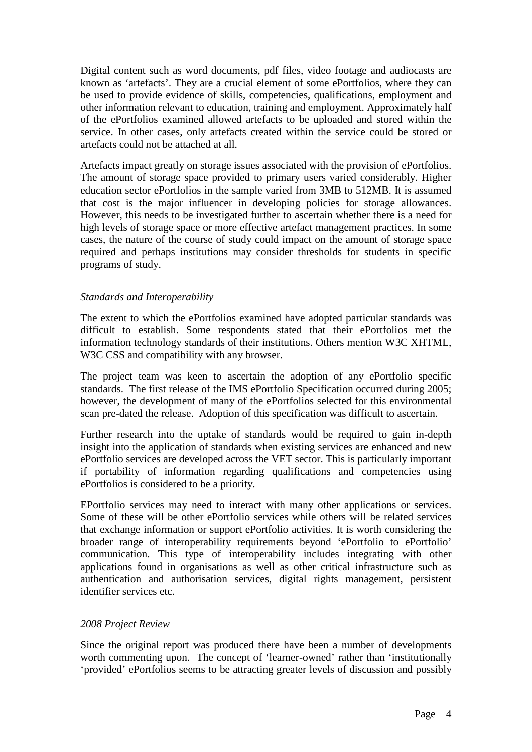Digital content such as word documents, pdf files, video footage and audiocasts are known as 'artefacts'. They are a crucial element of some ePortfolios, where they can be used to provide evidence of skills, competencies, qualifications, employment and other information relevant to education, training and employment. Approximately half of the ePortfolios examined allowed artefacts to be uploaded and stored within the service. In other cases, only artefacts created within the service could be stored or artefacts could not be attached at all.

Artefacts impact greatly on storage issues associated with the provision of ePortfolios. The amount of storage space provided to primary users varied considerably. Higher education sector ePortfolios in the sample varied from 3MB to 512MB. It is assumed that cost is the major influencer in developing policies for storage allowances. However, this needs to be investigated further to ascertain whether there is a need for high levels of storage space or more effective artefact management practices. In some cases, the nature of the course of study could impact on the amount of storage space required and perhaps institutions may consider thresholds for students in specific programs of study.

### *Standards and Interoperability*

The extent to which the ePortfolios examined have adopted particular standards was difficult to establish. Some respondents stated that their ePortfolios met the information technology standards of their institutions. Others mention W3C XHTML, W3C CSS and compatibility with any browser.

The project team was keen to ascertain the adoption of any ePortfolio specific standards. The first release of the IMS ePortfolio Specification occurred during 2005; however, the development of many of the ePortfolios selected for this environmental scan pre-dated the release. Adoption of this specification was difficult to ascertain.

Further research into the uptake of standards would be required to gain in-depth insight into the application of standards when existing services are enhanced and new ePortfolio services are developed across the VET sector. This is particularly important if portability of information regarding qualifications and competencies using ePortfolios is considered to be a priority.

EPortfolio services may need to interact with many other applications or services. Some of these will be other ePortfolio services while others will be related services that exchange information or support ePortfolio activities. It is worth considering the broader range of interoperability requirements beyond 'ePortfolio to ePortfolio' communication. This type of interoperability includes integrating with other applications found in organisations as well as other critical infrastructure such as authentication and authorisation services, digital rights management, persistent identifier services etc.

### *2008 Project Review*

Since the original report was produced there have been a number of developments worth commenting upon. The concept of 'learner-owned' rather than 'institutionally 'provided' ePortfolios seems to be attracting greater levels of discussion and possibly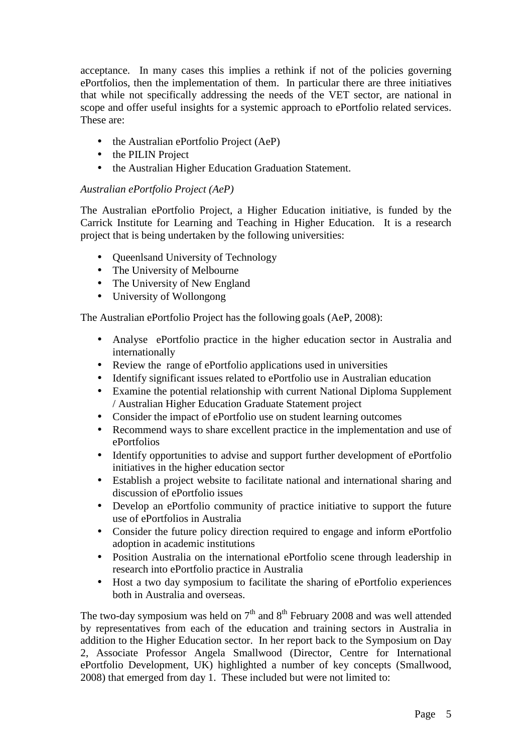acceptance. In many cases this implies a rethink if not of the policies governing ePortfolios, then the implementation of them. In particular there are three initiatives that while not specifically addressing the needs of the VET sector, are national in scope and offer useful insights for a systemic approach to ePortfolio related services. These are:

- the Australian ePortfolio Project (AeP)
- the PILIN Project
- the Australian Higher Education Graduation Statement.

## *Australian ePortfolio Project (AeP)*

The Australian ePortfolio Project, a Higher Education initiative, is funded by the Carrick Institute for Learning and Teaching in Higher Education. It is a research project that is being undertaken by the following universities:

- Queenlsand University of Technology
- The University of Melbourne
- The University of New England
- University of Wollongong

The Australian ePortfolio Project has the following goals (AeP, 2008):

- Analyse ePortfolio practice in the higher education sector in Australia and internationally
- Review the range of ePortfolio applications used in universities
- Identify significant issues related to ePortfolio use in Australian education
- Examine the potential relationship with current National Diploma Supplement / Australian Higher Education Graduate Statement project
- Consider the impact of ePortfolio use on student learning outcomes
- Recommend ways to share excellent practice in the implementation and use of ePortfolios
- Identify opportunities to advise and support further development of ePortfolio initiatives in the higher education sector
- Establish a project website to facilitate national and international sharing and discussion of ePortfolio issues
- Develop an ePortfolio community of practice initiative to support the future use of ePortfolios in Australia
- Consider the future policy direction required to engage and inform ePortfolio adoption in academic institutions
- Position Australia on the international ePortfolio scene through leadership in research into ePortfolio practice in Australia
- Host a two day symposium to facilitate the sharing of ePortfolio experiences both in Australia and overseas.

The two-day symposium was held on  $7<sup>th</sup>$  and  $8<sup>th</sup>$  February 2008 and was well attended by representatives from each of the education and training sectors in Australia in addition to the Higher Education sector. In her report back to the Symposium on Day 2, Associate Professor Angela Smallwood (Director, Centre for International ePortfolio Development, UK) highlighted a number of key concepts (Smallwood, 2008) that emerged from day 1. These included but were not limited to: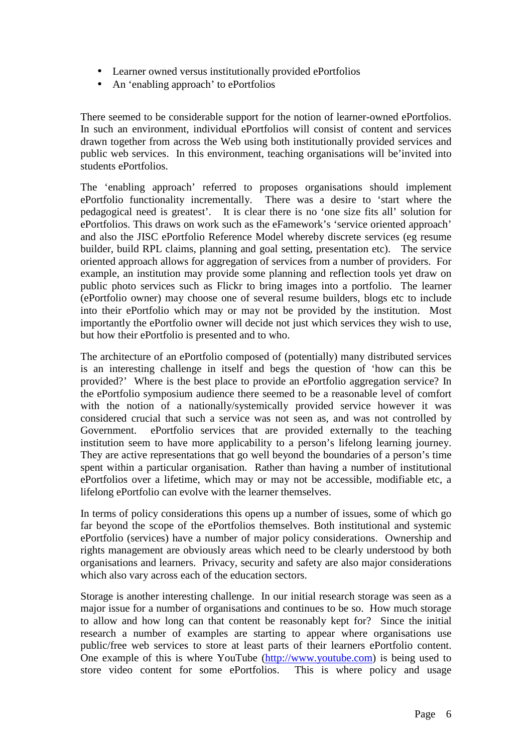- Learner owned versus institutionally provided ePortfolios
- An 'enabling approach' to ePortfolios

There seemed to be considerable support for the notion of learner-owned ePortfolios. In such an environment, individual ePortfolios will consist of content and services drawn together from across the Web using both institutionally provided services and public web services. In this environment, teaching organisations will be'invited into students ePortfolios.

The 'enabling approach' referred to proposes organisations should implement ePortfolio functionality incrementally. There was a desire to 'start where the pedagogical need is greatest'. It is clear there is no 'one size fits all' solution for ePortfolios. This draws on work such as the eFamework's 'service oriented approach' and also the JISC ePortfolio Reference Model whereby discrete services (eg resume builder, build RPL claims, planning and goal setting, presentation etc). The service oriented approach allows for aggregation of services from a number of providers. For example, an institution may provide some planning and reflection tools yet draw on public photo services such as Flickr to bring images into a portfolio. The learner (ePortfolio owner) may choose one of several resume builders, blogs etc to include into their ePortfolio which may or may not be provided by the institution. Most importantly the ePortfolio owner will decide not just which services they wish to use, but how their ePortfolio is presented and to who.

The architecture of an ePortfolio composed of (potentially) many distributed services is an interesting challenge in itself and begs the question of 'how can this be provided?' Where is the best place to provide an ePortfolio aggregation service? In the ePortfolio symposium audience there seemed to be a reasonable level of comfort with the notion of a nationally/systemically provided service however it was considered crucial that such a service was not seen as, and was not controlled by Government. ePortfolio services that are provided externally to the teaching institution seem to have more applicability to a person's lifelong learning journey. They are active representations that go well beyond the boundaries of a person's time spent within a particular organisation. Rather than having a number of institutional ePortfolios over a lifetime, which may or may not be accessible, modifiable etc, a lifelong ePortfolio can evolve with the learner themselves.

In terms of policy considerations this opens up a number of issues, some of which go far beyond the scope of the ePortfolios themselves. Both institutional and systemic ePortfolio (services) have a number of major policy considerations. Ownership and rights management are obviously areas which need to be clearly understood by both organisations and learners. Privacy, security and safety are also major considerations which also vary across each of the education sectors.

Storage is another interesting challenge. In our initial research storage was seen as a major issue for a number of organisations and continues to be so. How much storage to allow and how long can that content be reasonably kept for? Since the initial research a number of examples are starting to appear where organisations use public/free web services to store at least parts of their learners ePortfolio content. One example of this is where YouTube (http://www.youtube.com) is being used to store video content for some ePortfolios. This is where policy and usage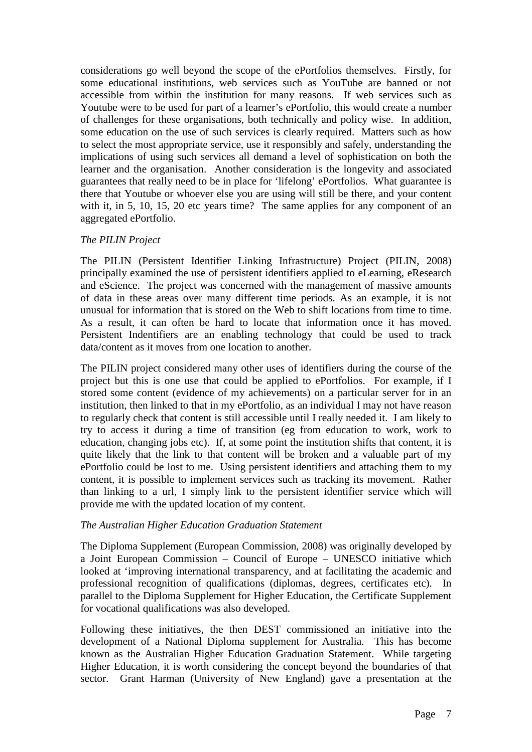considerations go well beyond the scope of the ePortfolios themselves. Firstly, for some educational institutions, web services such as YouTube are banned or not accessible from within the institution for many reasons. If web services such as Youtube were to be used for part of a learner's ePortfolio, this would create a number of challenges for these organisations, both technically and policy wise. In addition, some education on the use of such services is clearly required. Matters such as how to select the most appropriate service, use it responsibly and safely, understanding the implications of using such services all demand a level of sophistication on both the learner and the organisation. Another consideration is the longevity and associated guarantees that really need to be in place for 'lifelong' ePortfolios. What guarantee is there that Youtube or whoever else you are using will still be there, and your content with it, in 5, 10, 15, 20 etc years time? The same applies for any component of an aggregated ePortfolio.

### *The PILIN Project*

The PILIN (Persistent Identifier Linking Infrastructure) Project (PILIN, 2008) principally examined the use of persistent identifiers applied to eLearning, eResearch and eScience. The project was concerned with the management of massive amounts of data in these areas over many different time periods. As an example, it is not unusual for information that is stored on the Web to shift locations from time to time. As a result, it can often be hard to locate that information once it has moved. Persistent Indentifiers are an enabling technology that could be used to track data/content as it moves from one location to another.

The PILIN project considered many other uses of identifiers during the course of the project but this is one use that could be applied to ePortfolios. For example, if I stored some content (evidence of my achievements) on a particular server for in an institution, then linked to that in my ePortfolio, as an individual I may not have reason to regularly check that content is still accessible until I really needed it. I am likely to try to access it during a time of transition (eg from education to work, work to education, changing jobs etc). If, at some point the institution shifts that content, it is quite likely that the link to that content will be broken and a valuable part of my ePortfolio could be lost to me. Using persistent identifiers and attaching them to my content, it is possible to implement services such as tracking its movement. Rather than linking to a url, I simply link to the persistent identifier service which will provide me with the updated location of my content.

### *The Australian Higher Education Graduation Statement*

The Diploma Supplement (European Commission, 2008) was originally developed by a Joint European Commission – Council of Europe – UNESCO initiative which looked at 'improving international transparency, and at facilitating the academic and professional recognition of qualifications (diplomas, degrees, certificates etc). In parallel to the Diploma Supplement for Higher Education, the Certificate Supplement for vocational qualifications was also developed.

Following these initiatives, the then DEST commissioned an initiative into the development of a National Diploma supplement for Australia. This has become known as the Australian Higher Education Graduation Statement. While targeting Higher Education, it is worth considering the concept beyond the boundaries of that sector. Grant Harman (University of New England) gave a presentation at the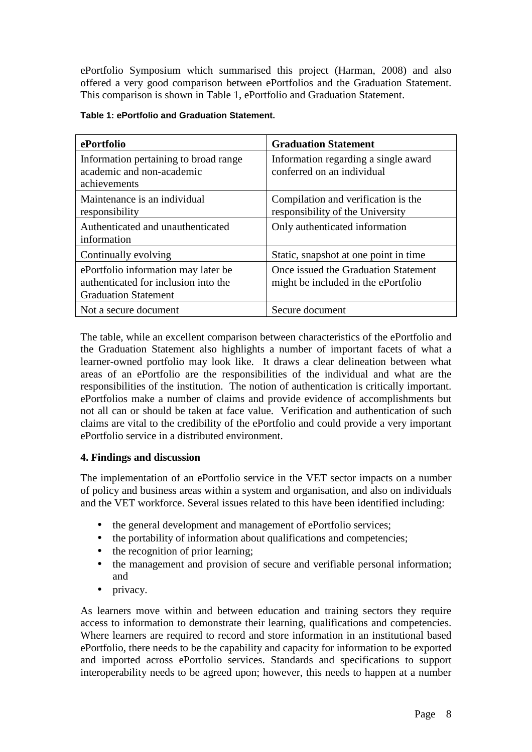ePortfolio Symposium which summarised this project (Harman, 2008) and also offered a very good comparison between ePortfolios and the Graduation Statement. This comparison is shown in Table 1, ePortfolio and Graduation Statement.

| ePortfolio                                                                                                 | <b>Graduation Statement</b>                                                 |
|------------------------------------------------------------------------------------------------------------|-----------------------------------------------------------------------------|
| Information pertaining to broad range<br>academic and non-academic<br>achievements                         | Information regarding a single award<br>conferred on an individual          |
| Maintenance is an individual<br>responsibility                                                             | Compilation and verification is the<br>responsibility of the University     |
| Authenticated and unauthenticated<br>information                                                           | Only authenticated information                                              |
| Continually evolving                                                                                       | Static, snapshot at one point in time                                       |
| ePortfolio information may later be<br>authenticated for inclusion into the<br><b>Graduation Statement</b> | Once issued the Graduation Statement<br>might be included in the ePortfolio |
| Not a secure document                                                                                      | Secure document                                                             |

### **Table 1: ePortfolio and Graduation Statement.**

The table, while an excellent comparison between characteristics of the ePortfolio and the Graduation Statement also highlights a number of important facets of what a learner-owned portfolio may look like. It draws a clear delineation between what areas of an ePortfolio are the responsibilities of the individual and what are the responsibilities of the institution. The notion of authentication is critically important. ePortfolios make a number of claims and provide evidence of accomplishments but not all can or should be taken at face value. Verification and authentication of such claims are vital to the credibility of the ePortfolio and could provide a very important ePortfolio service in a distributed environment.

## **4. Findings and discussion**

The implementation of an ePortfolio service in the VET sector impacts on a number of policy and business areas within a system and organisation, and also on individuals and the VET workforce. Several issues related to this have been identified including:

- the general development and management of ePortfolio services;
- the portability of information about qualifications and competencies;
- the recognition of prior learning;
- the management and provision of secure and verifiable personal information; and
- privacy.

As learners move within and between education and training sectors they require access to information to demonstrate their learning, qualifications and competencies. Where learners are required to record and store information in an institutional based ePortfolio, there needs to be the capability and capacity for information to be exported and imported across ePortfolio services. Standards and specifications to support interoperability needs to be agreed upon; however, this needs to happen at a number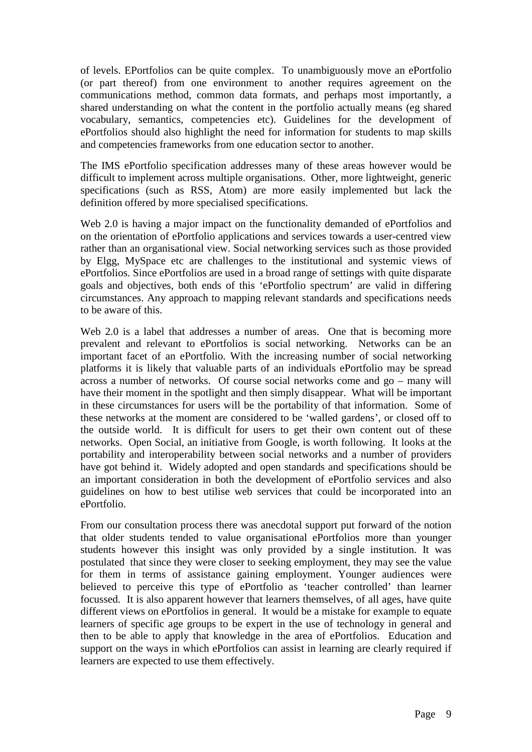of levels. EPortfolios can be quite complex. To unambiguously move an ePortfolio (or part thereof) from one environment to another requires agreement on the communications method, common data formats, and perhaps most importantly, a shared understanding on what the content in the portfolio actually means (eg shared vocabulary, semantics, competencies etc). Guidelines for the development of ePortfolios should also highlight the need for information for students to map skills and competencies frameworks from one education sector to another.

The IMS ePortfolio specification addresses many of these areas however would be difficult to implement across multiple organisations. Other, more lightweight, generic specifications (such as RSS, Atom) are more easily implemented but lack the definition offered by more specialised specifications.

Web 2.0 is having a major impact on the functionality demanded of ePortfolios and on the orientation of ePortfolio applications and services towards a user-centred view rather than an organisational view. Social networking services such as those provided by Elgg, MySpace etc are challenges to the institutional and systemic views of ePortfolios. Since ePortfolios are used in a broad range of settings with quite disparate goals and objectives, both ends of this 'ePortfolio spectrum' are valid in differing circumstances. Any approach to mapping relevant standards and specifications needs to be aware of this.

Web 2.0 is a label that addresses a number of areas. One that is becoming more prevalent and relevant to ePortfolios is social networking. Networks can be an important facet of an ePortfolio. With the increasing number of social networking platforms it is likely that valuable parts of an individuals ePortfolio may be spread across a number of networks. Of course social networks come and go – many will have their moment in the spotlight and then simply disappear. What will be important in these circumstances for users will be the portability of that information. Some of these networks at the moment are considered to be 'walled gardens', or closed off to the outside world. It is difficult for users to get their own content out of these networks. Open Social, an initiative from Google, is worth following. It looks at the portability and interoperability between social networks and a number of providers have got behind it. Widely adopted and open standards and specifications should be an important consideration in both the development of ePortfolio services and also guidelines on how to best utilise web services that could be incorporated into an ePortfolio.

From our consultation process there was anecdotal support put forward of the notion that older students tended to value organisational ePortfolios more than younger students however this insight was only provided by a single institution. It was postulated that since they were closer to seeking employment, they may see the value for them in terms of assistance gaining employment. Younger audiences were believed to perceive this type of ePortfolio as 'teacher controlled' than learner focussed. It is also apparent however that learners themselves, of all ages, have quite different views on ePortfolios in general. It would be a mistake for example to equate learners of specific age groups to be expert in the use of technology in general and then to be able to apply that knowledge in the area of ePortfolios. Education and support on the ways in which ePortfolios can assist in learning are clearly required if learners are expected to use them effectively.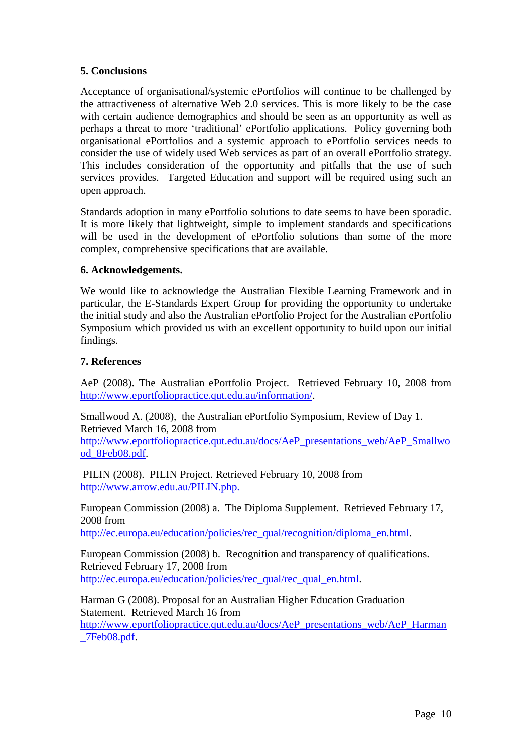## **5. Conclusions**

Acceptance of organisational/systemic ePortfolios will continue to be challenged by the attractiveness of alternative Web 2.0 services. This is more likely to be the case with certain audience demographics and should be seen as an opportunity as well as perhaps a threat to more 'traditional' ePortfolio applications. Policy governing both organisational ePortfolios and a systemic approach to ePortfolio services needs to consider the use of widely used Web services as part of an overall ePortfolio strategy. This includes consideration of the opportunity and pitfalls that the use of such services provides. Targeted Education and support will be required using such an open approach.

Standards adoption in many ePortfolio solutions to date seems to have been sporadic. It is more likely that lightweight, simple to implement standards and specifications will be used in the development of ePortfolio solutions than some of the more complex, comprehensive specifications that are available.

### **6. Acknowledgements.**

We would like to acknowledge the Australian Flexible Learning Framework and in particular, the E-Standards Expert Group for providing the opportunity to undertake the initial study and also the Australian ePortfolio Project for the Australian ePortfolio Symposium which provided us with an excellent opportunity to build upon our initial findings.

### **7. References**

AeP (2008). The Australian ePortfolio Project. Retrieved February 10, 2008 from http://www.eportfoliopractice.qut.edu.au/information/.

Smallwood A. (2008), the Australian ePortfolio Symposium, Review of Day 1. Retrieved March 16, 2008 from

http://www.eportfoliopractice.qut.edu.au/docs/AeP\_presentations\_web/AeP\_Smallwo od\_8Feb08.pdf.

 PILIN (2008). PILIN Project. Retrieved February 10, 2008 from http://www.arrow.edu.au/PILIN.php.

European Commission (2008) a. The Diploma Supplement. Retrieved February 17, 2008 from

http://ec.europa.eu/education/policies/rec\_qual/recognition/diploma\_en.html.

European Commission (2008) b. Recognition and transparency of qualifications. Retrieved February 17, 2008 from http://ec.europa.eu/education/policies/rec\_qual/rec\_qual\_en.html.

Harman G (2008). Proposal for an Australian Higher Education Graduation Statement. Retrieved March 16 from http://www.eportfoliopractice.qut.edu.au/docs/AeP\_presentations\_web/AeP\_Harman \_7Feb08.pdf.